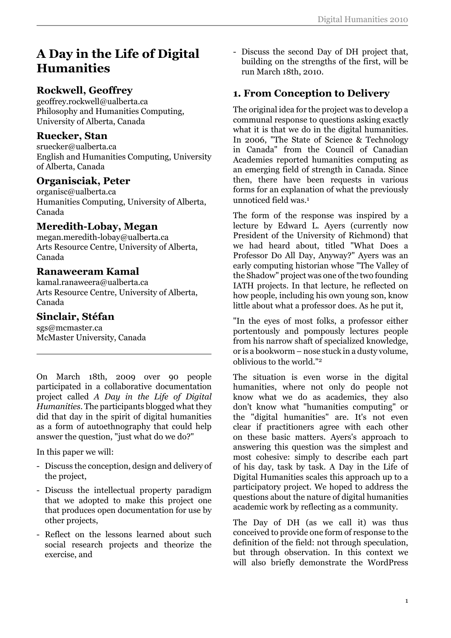# **A Day in the Life of Digital Humanities**

# **Rockwell, Geoffrey**

geoffrey.rockwell@ualberta.ca Philosophy and Humanities Computing, University of Alberta, Canada

#### **Ruecker, Stan**

sruecker@ualberta.ca English and Humanities Computing, University of Alberta, Canada

## **Organisciak, Peter**

organisc@ualberta.ca Humanities Computing, University of Alberta, Canada

## **Meredith-Lobay, Megan**

megan.meredith-lobay@ualberta.ca Arts Resource Centre, University of Alberta, Canada

#### **Ranaweeram Kamal**

kamal.ranaweera@ualberta.ca Arts Resource Centre, University of Alberta, Canada

#### **Sinclair, Stéfan**

sgs@mcmaster.ca McMaster University, Canada

On March 18th, 2009 over 90 people participated in a collaborative documentation project called *A Day in the Life of Digital Humanities*. The participants blogged what they did that day in the spirit of digital humanities as a form of autoethnography that could help answer the question, "just what do we do?"

In this paper we will:

- Discuss the conception, design and delivery of the project,
- Discuss the intellectual property paradigm that we adopted to make this project one that produces open documentation for use by other projects,
- Reflect on the lessons learned about such social research projects and theorize the exercise, and

- Discuss the second Day of DH project that, building on the strengths of the first, will be run March 18th, 2010.

# **1. From Conception to Delivery**

The original idea for the project was to develop a communal response to questions asking exactly what it is that we do in the digital humanities. In 2006, "The State of Science & Technology in Canada" from the Council of Canadian Academies reported humanities computing as an emerging field of strength in Canada. Since then, there have been requests in various forms for an explanation of what the previously unnoticed field was.<sup>1</sup>

The form of the response was inspired by a lecture by Edward L. Ayers (currently now President of the University of Richmond) that we had heard about, titled "What Does a Professor Do All Day, Anyway?" Ayers was an early computing historian whose "The Valley of the Shadow" project was one of the two founding IATH projects. In that lecture, he reflected on how people, including his own young son, know little about what a professor does. As he put it,

"In the eyes of most folks, a professor either portentously and pompously lectures people from his narrow shaft of specialized knowledge, or is a bookworm – nose stuck in a dusty volume, oblivious to the world."<sup>2</sup>

The situation is even worse in the digital humanities, where not only do people not know what we do as academics, they also don't know what "humanities computing" or the "digital humanities" are. It's not even clear if practitioners agree with each other on these basic matters. Ayers's approach to answering this question was the simplest and most cohesive: simply to describe each part of his day, task by task. A Day in the Life of Digital Humanities scales this approach up to a participatory project. We hoped to address the questions about the nature of digital humanities academic work by reflecting as a community.

The Day of DH (as we call it) was thus conceived to provide one form of response to the definition of the field: not through speculation, but through observation. In this context we will also briefly demonstrate the WordPress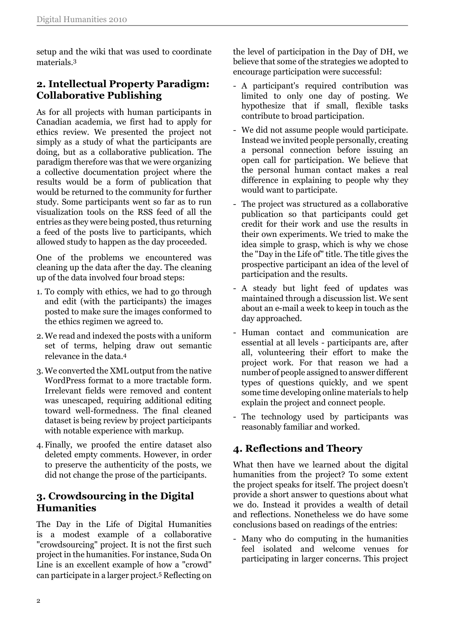setup and the wiki that was used to coordinate materials.<sup>3</sup>

# **2. Intellectual Property Paradigm: Collaborative Publishing**

As for all projects with human participants in Canadian academia, we first had to apply for ethics review. We presented the project not simply as a study of what the participants are doing, but as a collaborative publication. The paradigm therefore was that we were organizing a collective documentation project where the results would be a form of publication that would be returned to the community for further study. Some participants went so far as to run visualization tools on the RSS feed of all the entries as they were being posted, thus returning a feed of the posts live to participants, which allowed study to happen as the day proceeded.

One of the problems we encountered was cleaning up the data after the day. The cleaning up of the data involved four broad steps:

- 1. To comply with ethics, we had to go through and edit (with the participants) the images posted to make sure the images conformed to the ethics regimen we agreed to.
- 2. We read and indexed the posts with a uniform set of terms, helping draw out semantic relevance in the data.<sup>4</sup>
- 3. We converted the XML output from the native WordPress format to a more tractable form. Irrelevant fields were removed and content was unescaped, requiring additional editing toward well-formedness. The final cleaned dataset is being review by project participants with notable experience with markup.
- 4. Finally, we proofed the entire dataset also deleted empty comments. However, in order to preserve the authenticity of the posts, we did not change the prose of the participants.

## **3. Crowdsourcing in the Digital Humanities**

The Day in the Life of Digital Humanities is a modest example of a collaborative "crowdsourcing" project. It is not the first such project in the humanities. For instance, Suda On Line is an excellent example of how a "crowd" can participate in a larger project.5 Reflecting on

the level of participation in the Day of DH, we believe that some of the strategies we adopted to encourage participation were successful:

- A participant's required contribution was limited to only one day of posting. We hypothesize that if small, flexible tasks contribute to broad participation.
- We did not assume people would participate. Instead we invited people personally, creating a personal connection before issuing an open call for participation. We believe that the personal human contact makes a real difference in explaining to people why they would want to participate.
- The project was structured as a collaborative publication so that participants could get credit for their work and use the results in their own experiments. We tried to make the idea simple to grasp, which is why we chose the "Day in the Life of" title. The title gives the prospective participant an idea of the level of participation and the results.
- A steady but light feed of updates was maintained through a discussion list. We sent about an e-mail a week to keep in touch as the day approached.
- Human contact and communication are essential at all levels - participants are, after all, volunteering their effort to make the project work. For that reason we had a number of people assigned to answer different types of questions quickly, and we spent some time developing online materials to help explain the project and connect people.
- The technology used by participants was reasonably familiar and worked.

# **4. Reflections and Theory**

What then have we learned about the digital humanities from the project? To some extent the project speaks for itself. The project doesn't provide a short answer to questions about what we do. Instead it provides a wealth of detail and reflections. Nonetheless we do have some conclusions based on readings of the entries:

- Many who do computing in the humanities feel isolated and welcome venues for participating in larger concerns. This project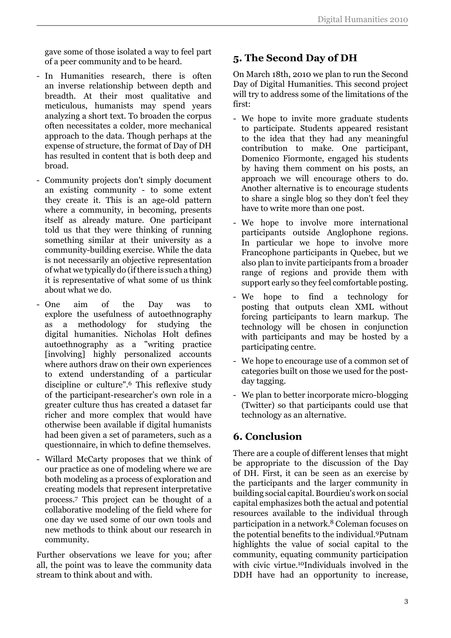gave some of those isolated a way to feel part of a peer community and to be heard.

- In Humanities research, there is often an inverse relationship between depth and breadth. At their most qualitative and meticulous, humanists may spend years analyzing a short text. To broaden the corpus often necessitates a colder, more mechanical approach to the data. Though perhaps at the expense of structure, the format of Day of DH has resulted in content that is both deep and broad.
- Community projects don't simply document an existing community - to some extent they create it. This is an age-old pattern where a community, in becoming, presents itself as already mature. One participant told us that they were thinking of running something similar at their university as a community-building exercise. While the data is not necessarily an objective representation of what we typically do (if there is such a thing) it is representative of what some of us think about what we do.
- One aim of the Day was to explore the usefulness of autoethnography as a methodology for studying the digital humanities. Nicholas Holt defines autoethnography as a "writing practice [involving] highly personalized accounts where authors draw on their own experiences to extend understanding of a particular discipline or culture".6 This reflexive study of the participant-researcher's own role in a greater culture thus has created a dataset far richer and more complex that would have otherwise been available if digital humanists had been given a set of parameters, such as a questionnaire, in which to define themselves.
- Willard McCarty proposes that we think of our practice as one of modeling where we are both modeling as a process of exploration and creating models that represent interpretative process.<sup>7</sup> This project can be thought of a collaborative modeling of the field where for one day we used some of our own tools and new methods to think about our research in community.

Further observations we leave for you; after all, the point was to leave the community data stream to think about and with.

# **5. The Second Day of DH**

On March 18th, 2010 we plan to run the Second Day of Digital Humanities. This second project will try to address some of the limitations of the first:

- We hope to invite more graduate students to participate. Students appeared resistant to the idea that they had any meaningful contribution to make. One participant, Domenico Fiormonte, engaged his students by having them comment on his posts, an approach we will encourage others to do. Another alternative is to encourage students to share a single blog so they don't feel they have to write more than one post.
- We hope to involve more international participants outside Anglophone regions. In particular we hope to involve more Francophone participants in Quebec, but we also plan to invite participants from a broader range of regions and provide them with support early so they feel comfortable posting.
- We hope to find a technology for posting that outputs clean XML without forcing participants to learn markup. The technology will be chosen in conjunction with participants and may be hosted by a participating centre.
- We hope to encourage use of a common set of categories built on those we used for the postday tagging.
- We plan to better incorporate micro-blogging (Twitter) so that participants could use that technology as an alternative.

# **6. Conclusion**

There are a couple of different lenses that might be appropriate to the discussion of the Day of DH. First, it can be seen as an exercise by the participants and the larger community in building social capital. Bourdieu's work on social capital emphasizes both the actual and potential resources available to the individual through participation in a network.8 Coleman focuses on the potential benefits to the individual.9Putnam highlights the value of social capital to the community, equating community participation with civic virtue.10Individuals involved in the DDH have had an opportunity to increase,